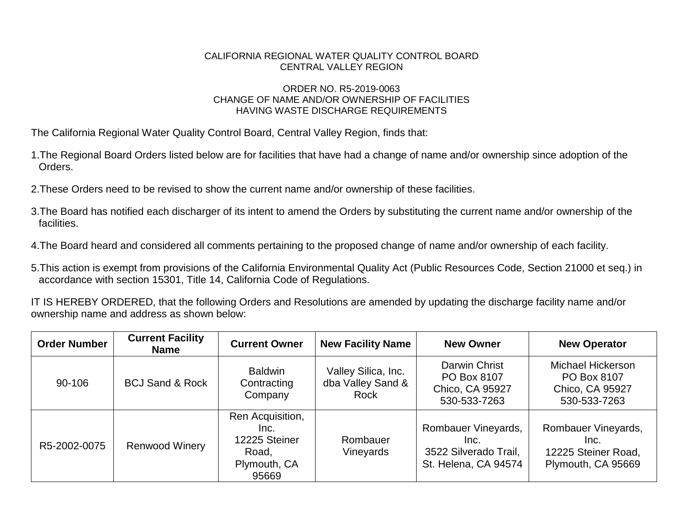## CALIFORNIA REGIONAL WATER QUALITY CONTROL BOARD CENTRAL VALLEY REGION

## ORDER NO. R5-2019-0063 CHANGE OF NAME AND/OR OWNERSHIP OF FACILITIES HAVING WASTE DISCHARGE REQUIREMENTS

The California Regional Water Quality Control Board, Central Valley Region, finds that:

- 1.The Regional Board Orders listed below are for facilities that have had a change of name and/or ownership since adoption of the Orders.
- 2.These Orders need to be revised to show the current name and/or ownership of these facilities.
- 3.The Board has notified each discharger of its intent to amend the Orders by substituting the current name and/or ownership of the facilities.
- 4.The Board heard and considered all comments pertaining to the proposed change of name and/or ownership of each facility.
- 5.This action is exempt from provisions of the California Environmental Quality Act (Public Resources Code, Section 21000 et seq.) in accordance with section 15301, Title 14, California Code of Regulations.

IT IS HEREBY ORDERED, that the following Orders and Resolutions are amended by updating the discharge facility name and/or ownership name and address as shown below:

| <b>Order Number</b> | <b>Current Facility</b><br><b>Name</b> | <b>Current Owner</b>                                                        | <b>New Facility Name</b>                         | <b>New Owner</b>                                                             | <b>New Operator</b>                                                      |
|---------------------|----------------------------------------|-----------------------------------------------------------------------------|--------------------------------------------------|------------------------------------------------------------------------------|--------------------------------------------------------------------------|
| 90-106              | <b>BCJ Sand &amp; Rock</b>             | <b>Baldwin</b><br>Contracting<br>Company                                    | Valley Silica, Inc.<br>dba Valley Sand &<br>Rock | Darwin Christ<br>PO Box 8107<br>Chico, CA 95927<br>530-533-7263              | Michael Hickerson<br>PO Box 8107<br>Chico, CA 95927<br>530-533-7263      |
| R5-2002-0075        | <b>Renwood Winery</b>                  | Ren Acquisition,<br>Inc.<br>12225 Steiner<br>Road,<br>Plymouth, CA<br>95669 | Rombauer<br>Vineyards                            | Rombauer Vineyards,<br>Inc.<br>3522 Silverado Trail,<br>St. Helena, CA 94574 | Rombauer Vineyards,<br>Inc.<br>12225 Steiner Road,<br>Plymouth, CA 95669 |